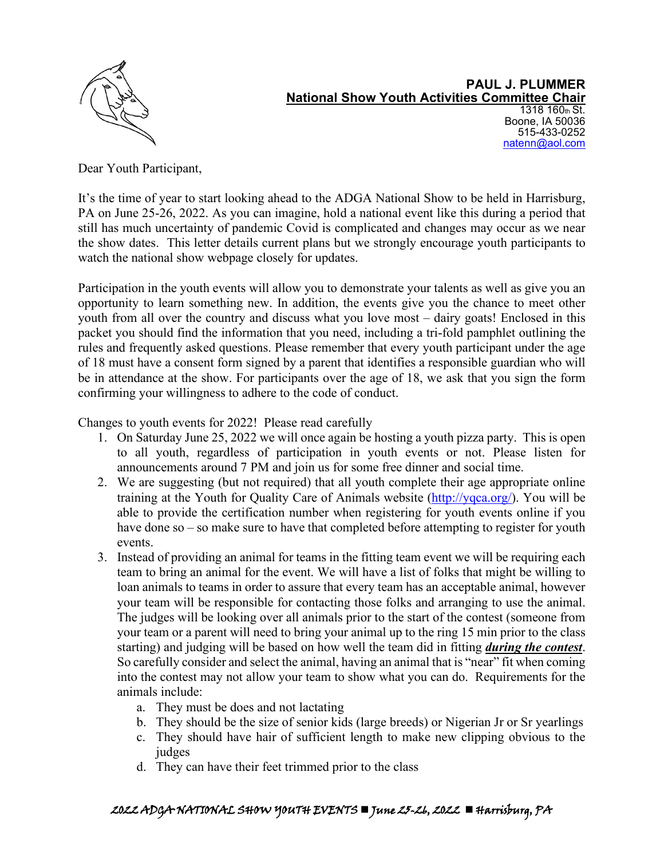

#### **PAUL J. PLUMMER National Show Youth Activities Committee Chair** 1318 160th St. Boone, IA 50036 515-433-0252 [natenn@aol.com](mailto:natenn@aol.com)

Dear Youth Participant,

It's the time of year to start looking ahead to the ADGA National Show to be held in Harrisburg, PA on June 25-26, 2022. As you can imagine, hold a national event like this during a period that still has much uncertainty of pandemic Covid is complicated and changes may occur as we near the show dates. This letter details current plans but we strongly encourage youth participants to watch the national show webpage closely for updates.

Participation in the youth events will allow you to demonstrate your talents as well as give you an opportunity to learn something new. In addition, the events give you the chance to meet other youth from all over the country and discuss what you love most – dairy goats! Enclosed in this packet you should find the information that you need, including a tri-fold pamphlet outlining the rules and frequently asked questions. Please remember that every youth participant under the age of 18 must have a consent form signed by a parent that identifies a responsible guardian who will be in attendance at the show. For participants over the age of 18, we ask that you sign the form confirming your willingness to adhere to the code of conduct.

Changes to youth events for 2022! Please read carefully

- 1. On Saturday June 25, 2022 we will once again be hosting a youth pizza party. This is open to all youth, regardless of participation in youth events or not. Please listen for announcements around 7 PM and join us for some free dinner and social time.
- 2. We are suggesting (but not required) that all youth complete their age appropriate online training at the Youth for Quality Care of Animals website [\(http://yqca.org/\)](http://yqca.org/). You will be able to provide the certification number when registering for youth events online if you have done so – so make sure to have that completed before attempting to register for youth events.
- 3. Instead of providing an animal for teams in the fitting team event we will be requiring each team to bring an animal for the event. We will have a list of folks that might be willing to loan animals to teams in order to assure that every team has an acceptable animal, however your team will be responsible for contacting those folks and arranging to use the animal. The judges will be looking over all animals prior to the start of the contest (someone from your team or a parent will need to bring your animal up to the ring 15 min prior to the class starting) and judging will be based on how well the team did in fitting *during the contest*. So carefully consider and select the animal, having an animal that is "near" fit when coming into the contest may not allow your team to show what you can do. Requirements for the animals include:
	- a. They must be does and not lactating
	- b. They should be the size of senior kids (large breeds) or Nigerian Jr or Sr yearlings
	- c. They should have hair of sufficient length to make new clipping obvious to the judges
	- d. They can have their feet trimmed prior to the class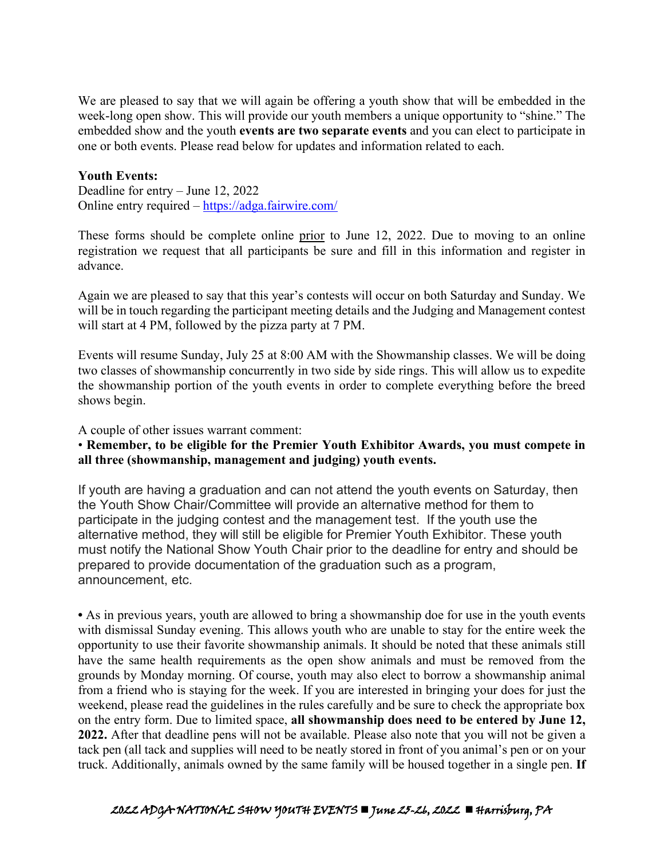We are pleased to say that we will again be offering a youth show that will be embedded in the week-long open show. This will provide our youth members a unique opportunity to "shine." The embedded show and the youth **events are two separate events** and you can elect to participate in one or both events. Please read below for updates and information related to each.

## **Youth Events:**

Deadline for entry – June 12, 2022 Online entry required –<https://adga.fairwire.com/>

These forms should be complete online prior to June 12, 2022. Due to moving to an online registration we request that all participants be sure and fill in this information and register in advance.

Again we are pleased to say that this year's contests will occur on both Saturday and Sunday. We will be in touch regarding the participant meeting details and the Judging and Management contest will start at 4 PM, followed by the pizza party at 7 PM.

Events will resume Sunday, July 25 at 8:00 AM with the Showmanship classes. We will be doing two classes of showmanship concurrently in two side by side rings. This will allow us to expedite the showmanship portion of the youth events in order to complete everything before the breed shows begin.

A couple of other issues warrant comment:

# • **Remember, to be eligible for the Premier Youth Exhibitor Awards, you must compete in all three (showmanship, management and judging) youth events.**

If youth are having a graduation and can not attend the youth events on Saturday, then the Youth Show Chair/Committee will provide an alternative method for them to participate in the judging contest and the management test. If the youth use the alternative method, they will still be eligible for Premier Youth Exhibitor. These youth must notify the National Show Youth Chair prior to the deadline for entry and should be prepared to provide documentation of the graduation such as a program, announcement, etc.

**•** As in previous years, youth are allowed to bring a showmanship doe for use in the youth events with dismissal Sunday evening. This allows youth who are unable to stay for the entire week the opportunity to use their favorite showmanship animals. It should be noted that these animals still have the same health requirements as the open show animals and must be removed from the grounds by Monday morning. Of course, youth may also elect to borrow a showmanship animal from a friend who is staying for the week. If you are interested in bringing your does for just the weekend, please read the guidelines in the rules carefully and be sure to check the appropriate box on the entry form. Due to limited space, **all showmanship does need to be entered by June 12, 2022.** After that deadline pens will not be available. Please also note that you will not be given a tack pen (all tack and supplies will need to be neatly stored in front of you animal's pen or on your truck. Additionally, animals owned by the same family will be housed together in a single pen. **If** 

# 2022 ADGA NATIONAL SHOW YOUTH EVENTS  $\blacksquare$  June 25-26, 2022  $\blacksquare$  Harrisburg, PA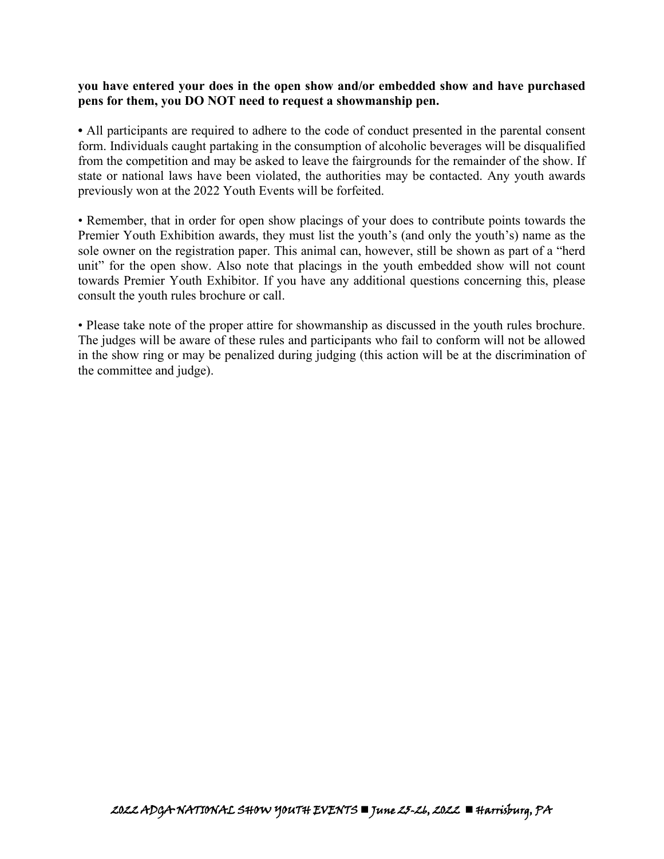# **you have entered your does in the open show and/or embedded show and have purchased pens for them, you DO NOT need to request a showmanship pen.**

**•** All participants are required to adhere to the code of conduct presented in the parental consent form. Individuals caught partaking in the consumption of alcoholic beverages will be disqualified from the competition and may be asked to leave the fairgrounds for the remainder of the show. If state or national laws have been violated, the authorities may be contacted. Any youth awards previously won at the 2022 Youth Events will be forfeited.

• Remember, that in order for open show placings of your does to contribute points towards the Premier Youth Exhibition awards, they must list the youth's (and only the youth's) name as the sole owner on the registration paper. This animal can, however, still be shown as part of a "herd unit" for the open show. Also note that placings in the youth embedded show will not count towards Premier Youth Exhibitor. If you have any additional questions concerning this, please consult the youth rules brochure or call.

• Please take note of the proper attire for showmanship as discussed in the youth rules brochure. The judges will be aware of these rules and participants who fail to conform will not be allowed in the show ring or may be penalized during judging (this action will be at the discrimination of the committee and judge).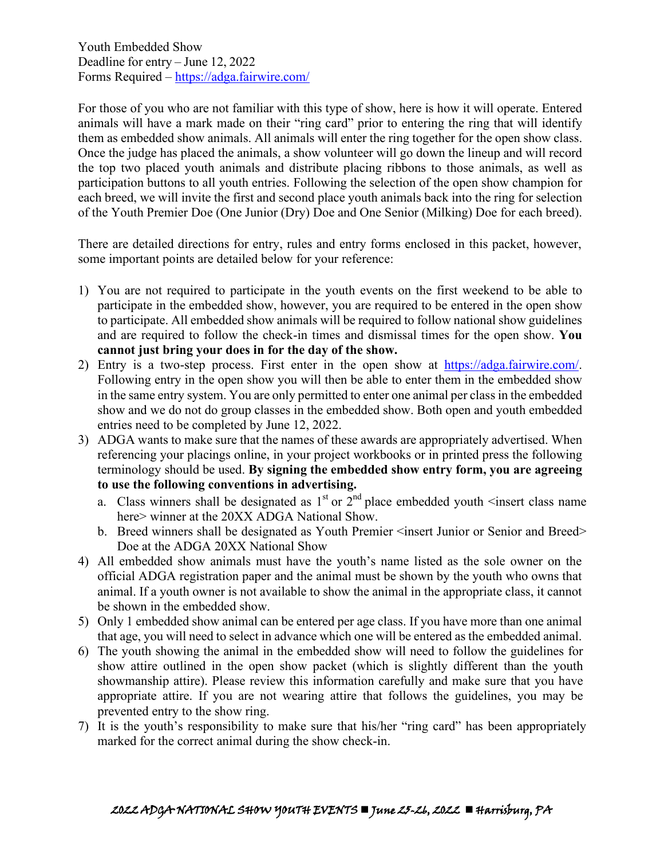Youth Embedded Show Deadline for entry – June 12, 2022 Forms Required –<https://adga.fairwire.com/>

For those of you who are not familiar with this type of show, here is how it will operate. Entered animals will have a mark made on their "ring card" prior to entering the ring that will identify them as embedded show animals. All animals will enter the ring together for the open show class. Once the judge has placed the animals, a show volunteer will go down the lineup and will record the top two placed youth animals and distribute placing ribbons to those animals, as well as participation buttons to all youth entries. Following the selection of the open show champion for each breed, we will invite the first and second place youth animals back into the ring for selection of the Youth Premier Doe (One Junior (Dry) Doe and One Senior (Milking) Doe for each breed).

There are detailed directions for entry, rules and entry forms enclosed in this packet, however, some important points are detailed below for your reference:

- 1) You are not required to participate in the youth events on the first weekend to be able to participate in the embedded show, however, you are required to be entered in the open show to participate. All embedded show animals will be required to follow national show guidelines and are required to follow the check-in times and dismissal times for the open show. **You cannot just bring your does in for the day of the show.**
- 2) Entry is a two-step process. First enter in the open show at [https://adga.fairwire.com/.](https://adga.fairwire.com/) Following entry in the open show you will then be able to enter them in the embedded show in the same entry system. You are only permitted to enter one animal per class in the embedded show and we do not do group classes in the embedded show. Both open and youth embedded entries need to be completed by June 12, 2022.
- 3) ADGA wants to make sure that the names of these awards are appropriately advertised. When referencing your placings online, in your project workbooks or in printed press the following terminology should be used. **By signing the embedded show entry form, you are agreeing to use the following conventions in advertising.**
	- a. Class winners shall be designated as  $1<sup>st</sup>$  or  $2<sup>nd</sup>$  place embedded youth  $\leq$  insert class name here> winner at the 20XX ADGA National Show.
	- b. Breed winners shall be designated as Youth Premier <insert Junior or Senior and Breed> Doe at the ADGA 20XX National Show
- 4) All embedded show animals must have the youth's name listed as the sole owner on the official ADGA registration paper and the animal must be shown by the youth who owns that animal. If a youth owner is not available to show the animal in the appropriate class, it cannot be shown in the embedded show.
- 5) Only 1 embedded show animal can be entered per age class. If you have more than one animal that age, you will need to select in advance which one will be entered as the embedded animal.
- 6) The youth showing the animal in the embedded show will need to follow the guidelines for show attire outlined in the open show packet (which is slightly different than the youth showmanship attire). Please review this information carefully and make sure that you have appropriate attire. If you are not wearing attire that follows the guidelines, you may be prevented entry to the show ring.
- 7) It is the youth's responsibility to make sure that his/her "ring card" has been appropriately marked for the correct animal during the show check-in.